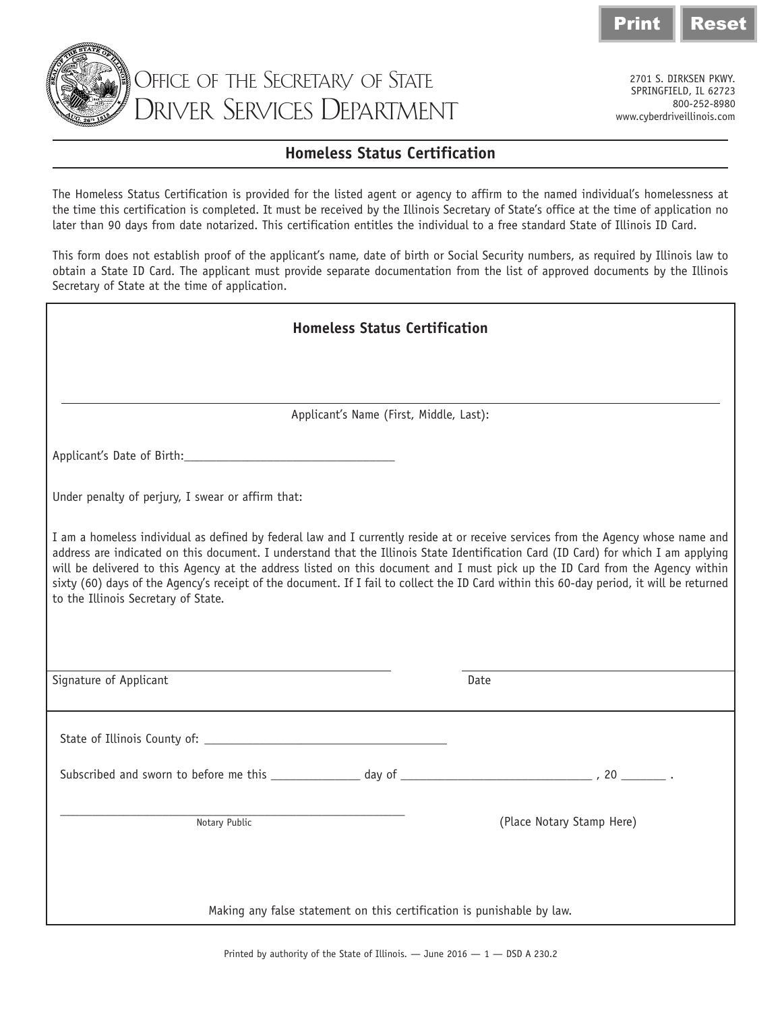



Office of the Secretary of State Driver Services Department

2701 S. DIRKSEN PKWY. SPRINGFIELD, IL 62723 800-252-8980 www.cyberdriveillinois.com

## **Homeless Status Certification**

The Homeless Status Certification is provided for the listed agent or agency to affirm to the named individual's homelessness at the time this certification is completed. It must be received by the Illinois Secretary of State's office at the time of application no later than 90 days from date notarized. This certification entitles the individual to a free standard State of Illinois ID Card.

This form does not establish proof of the applicant's name, date of birth or Social Security numbers, as required by Illinois law to obtain a State ID Card. The applicant must provide separate documentation from the list of approved documents by the Illinois Secretary of State at the time of application.

| <b>Homeless Status Certification</b>                                                                                                                                                                                                                                                                                                                                                                                                                                                                                                                                                        |  |  |
|---------------------------------------------------------------------------------------------------------------------------------------------------------------------------------------------------------------------------------------------------------------------------------------------------------------------------------------------------------------------------------------------------------------------------------------------------------------------------------------------------------------------------------------------------------------------------------------------|--|--|
|                                                                                                                                                                                                                                                                                                                                                                                                                                                                                                                                                                                             |  |  |
| Applicant's Name (First, Middle, Last):                                                                                                                                                                                                                                                                                                                                                                                                                                                                                                                                                     |  |  |
|                                                                                                                                                                                                                                                                                                                                                                                                                                                                                                                                                                                             |  |  |
| Under penalty of perjury, I swear or affirm that:                                                                                                                                                                                                                                                                                                                                                                                                                                                                                                                                           |  |  |
| I am a homeless individual as defined by federal law and I currently reside at or receive services from the Agency whose name and<br>address are indicated on this document. I understand that the Illinois State Identification Card (ID Card) for which I am applying<br>will be delivered to this Agency at the address listed on this document and I must pick up the ID Card from the Agency within<br>sixty (60) days of the Agency's receipt of the document. If I fail to collect the ID Card within this 60-day period, it will be returned<br>to the Illinois Secretary of State. |  |  |
| Signature of Applicant<br>Date                                                                                                                                                                                                                                                                                                                                                                                                                                                                                                                                                              |  |  |
|                                                                                                                                                                                                                                                                                                                                                                                                                                                                                                                                                                                             |  |  |
|                                                                                                                                                                                                                                                                                                                                                                                                                                                                                                                                                                                             |  |  |
| Notary Public<br>(Place Notary Stamp Here)                                                                                                                                                                                                                                                                                                                                                                                                                                                                                                                                                  |  |  |
| Making any false statement on this certification is punishable by law.                                                                                                                                                                                                                                                                                                                                                                                                                                                                                                                      |  |  |